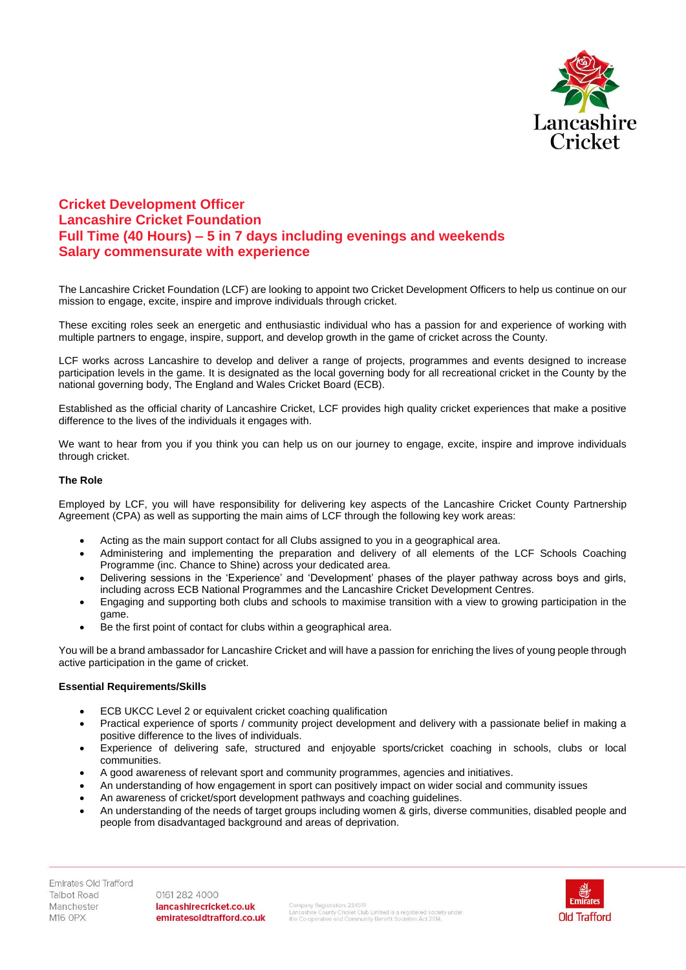

## **Cricket Development Officer Lancashire Cricket Foundation Full Time (40 Hours) – 5 in 7 days including evenings and weekends Salary commensurate with experience**

The Lancashire Cricket Foundation (LCF) are looking to appoint two Cricket Development Officers to help us continue on our mission to engage, excite, inspire and improve individuals through cricket.

These exciting roles seek an energetic and enthusiastic individual who has a passion for and experience of working with multiple partners to engage, inspire, support, and develop growth in the game of cricket across the County.

LCF works across Lancashire to develop and deliver a range of projects, programmes and events designed to increase participation levels in the game. It is designated as the local governing body for all recreational cricket in the County by the national governing body, The England and Wales Cricket Board (ECB).

Established as the official charity of Lancashire Cricket, LCF provides high quality cricket experiences that make a positive difference to the lives of the individuals it engages with.

We want to hear from you if you think you can help us on our journey to engage, excite, inspire and improve individuals through cricket.

## **The Role**

Employed by LCF, you will have responsibility for delivering key aspects of the Lancashire Cricket County Partnership Agreement (CPA) as well as supporting the main aims of LCF through the following key work areas:

- Acting as the main support contact for all Clubs assigned to you in a geographical area.
- Administering and implementing the preparation and delivery of all elements of the LCF Schools Coaching Programme (inc. Chance to Shine) across your dedicated area.
- Delivering sessions in the 'Experience' and 'Development' phases of the player pathway across boys and girls, including across ECB National Programmes and the Lancashire Cricket Development Centres.
- Engaging and supporting both clubs and schools to maximise transition with a view to growing participation in the game.
- Be the first point of contact for clubs within a geographical area.

You will be a brand ambassador for Lancashire Cricket and will have a passion for enriching the lives of young people through active participation in the game of cricket.

## **Essential Requirements/Skills**

- ECB UKCC Level 2 or equivalent cricket coaching qualification
- Practical experience of sports / community project development and delivery with a passionate belief in making a positive difference to the lives of individuals.
- Experience of delivering safe, structured and enjoyable sports/cricket coaching in schools, clubs or local communities.
- A good awareness of relevant sport and community programmes, agencies and initiatives.
- An understanding of how engagement in sport can positively impact on wider social and community issues
- An awareness of cricket/sport development pathways and coaching guidelines.
- An understanding of the needs of target groups including women & girls, diverse communities, disabled people and people from disadvantaged background and areas of deprivation.

0161 282 4000 lancashirecricket.co.uk emiratesoldtrafford.co.uk

Company Registration: 28451R<br>Lancashire County Cricket Club Limited is a registered society under<br>the Co-operative and Community Benefit Societies Act 2014.